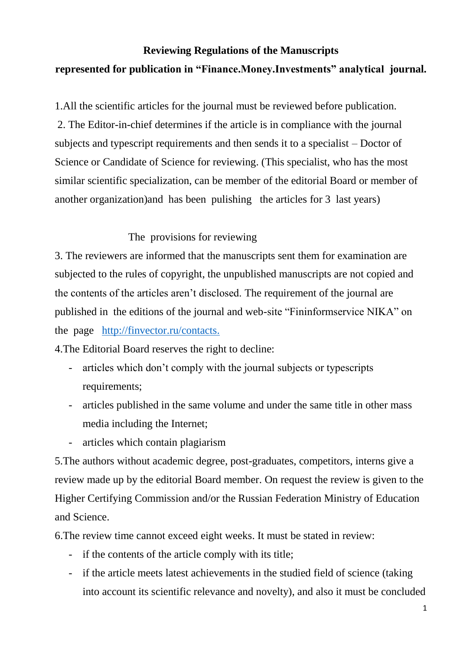## **Reviewing Regulations of the Manuscripts represented for publication in "Finance.Money.Investments" analytical journal.**

1.All the scientific articles for the journal must be reviewed before publication. 2. The Editor-in-chief determines if the article is in compliance with the journal subjects and typescript requirements and then sends it to a specialist – Doctor of Science or Candidate of Science for reviewing. (This specialist, who has the most similar scientific specialization, can be member of the editorial Board or member of another organization)and has been pulishing the articles for 3 last years)

## The provisions for reviewing

3. The reviewers are informed that the manuscripts sent them for examination are subjected to the rules of copyright, the unpublished manuscripts are not copied and the contents of the articles aren't disclosed. The requirement of the journal are published in the editions of the journal and web-site "Fininformservice NIKA" on the page [http://finvector.ru/contacts.](http://finvector.ru/contacts)

4.The Editorial Board reserves the right to decline:

- articles which don't comply with the journal subjects or typescripts requirements;
- articles published in the same volume and under the same title in other mass media including the Internet;
- articles which contain plagiarism

5.The authors without academic degree, post-graduates, competitors, interns give a review made up by the editorial Board member. On request the review is given to the Higher Certifying Commission and/or the Russian Federation Ministry of Education and Science.

6.The review time cannot exceed eight weeks. It must be stated in review:

- if the contents of the article comply with its title;
- if the article meets latest achievements in the studied field of science (taking into account its scientific relevance and novelty), and also it must be concluded